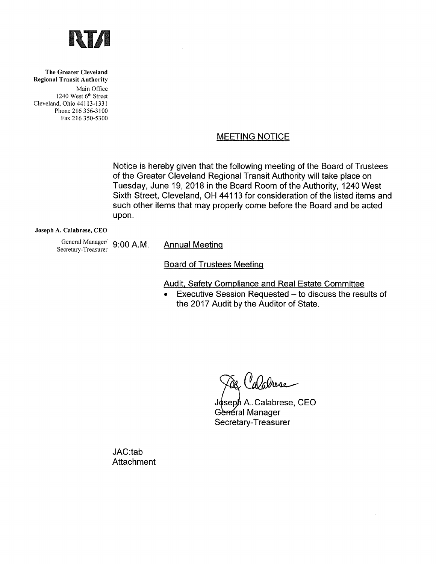

The Greater Cleveland **Regional Transit Authority** Main Office 1240 West 6<sup>th</sup> Street Cleveland, Ohio 44113-1331 Phone 216 356-3100 Fax 216 350-5300

## **MEETING NOTICE**

Notice is hereby given that the following meeting of the Board of Trustees of the Greater Cleveland Regional Transit Authority will take place on Tuesday, June 19, 2018 in the Board Room of the Authority, 1240 West Sixth Street, Cleveland, OH 44113 for consideration of the listed items and such other items that may properly come before the Board and be acted upon.

#### Joseph A. Calabrese, CEO

General Manager/ 9:00 A.M. Secretary-Treasurer

**Annual Meeting** 

**Board of Trustees Meeting** 

Audit, Safety Compliance and Real Estate Committee

• Executive Session Requested - to discuss the results of the 2017 Audit by the Auditor of State.

Walrese

Joseph A. Calabrese, CEO General Manager Secretary-Treasurer

JAC:tab Attachment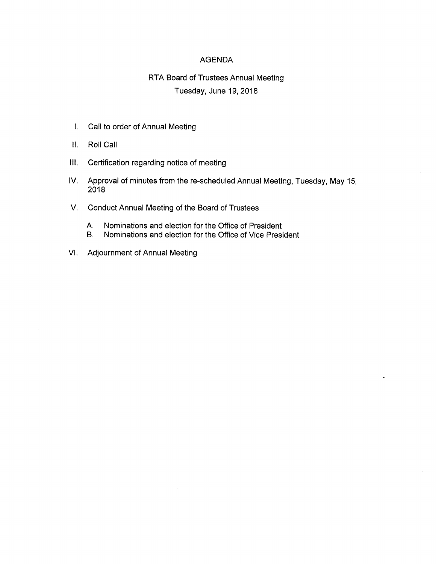#### **AGENDA**

# RTA Board of Trustees Annual Meeting Tuesday, June 19, 2018

- I. Call to order of Annual Meeting
- II. Roll Call
- III. Certification regarding notice of meeting
- IV. Approval of minutes from the re-scheduled Annual Meeting, Tuesday, May 15, 2018
- V. Conduct Annual Meeting of the Board of Trustees
	- Nominations and election for the Office of President A.
	- Nominations and election for the Office of Vice President **B.**
- VI. Adjournment of Annual Meeting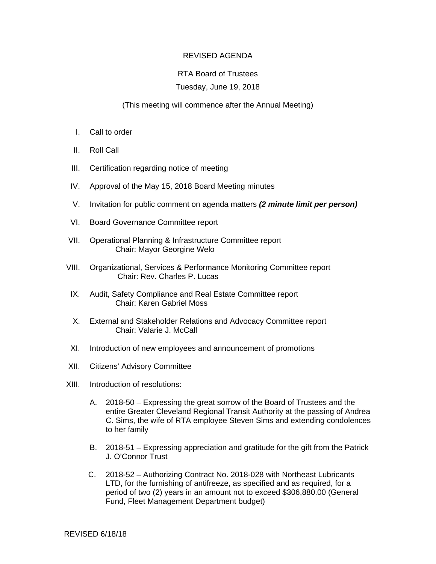### REVISED AGENDA

### RTA Board of Trustees

### Tuesday, June 19, 2018

### (This meeting will commence after the Annual Meeting)

- I. Call to order
- II. Roll Call
- III. Certification regarding notice of meeting
- IV. Approval of the May 15, 2018 Board Meeting minutes
- V. Invitation for public comment on agenda matters *(2 minute limit per person)*
- VI. Board Governance Committee report
- VII. Operational Planning & Infrastructure Committee report Chair: Mayor Georgine Welo
- VIII. Organizational, Services & Performance Monitoring Committee report Chair: Rev. Charles P. Lucas
- IX. Audit, Safety Compliance and Real Estate Committee report Chair: Karen Gabriel Moss
- X. External and Stakeholder Relations and Advocacy Committee report Chair: Valarie J. McCall
- XI. Introduction of new employees and announcement of promotions
- XII. Citizens' Advisory Committee
- XIII. Introduction of resolutions:
	- A. 2018-50 Expressing the great sorrow of the Board of Trustees and the entire Greater Cleveland Regional Transit Authority at the passing of Andrea C. Sims, the wife of RTA employee Steven Sims and extending condolences to her family
	- B. 2018-51 Expressing appreciation and gratitude for the gift from the Patrick J. O'Connor Trust
	- C. 2018-52 Authorizing Contract No. 2018-028 with Northeast Lubricants LTD, for the furnishing of antifreeze, as specified and as required, for a period of two (2) years in an amount not to exceed \$306,880.00 (General Fund, Fleet Management Department budget)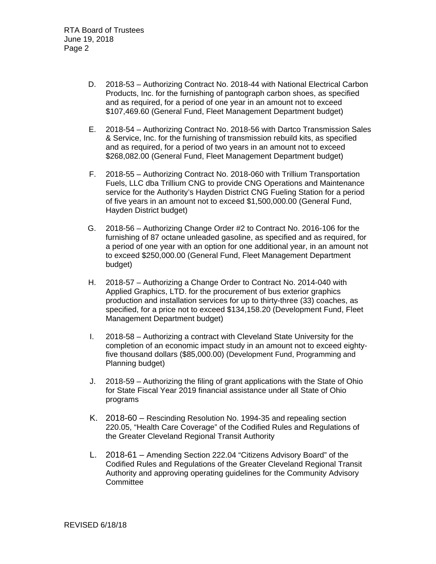- D. 2018-53 Authorizing Contract No. 2018-44 with National Electrical Carbon Products, Inc. for the furnishing of pantograph carbon shoes, as specified and as required, for a period of one year in an amount not to exceed \$107,469.60 (General Fund, Fleet Management Department budget)
- E. 2018-54 Authorizing Contract No. 2018-56 with Dartco Transmission Sales & Service, Inc. for the furnishing of transmission rebuild kits, as specified and as required, for a period of two years in an amount not to exceed \$268,082.00 (General Fund, Fleet Management Department budget)
- F. 2018-55 Authorizing Contract No. 2018-060 with Trillium Transportation Fuels, LLC dba Trillium CNG to provide CNG Operations and Maintenance service for the Authority's Hayden District CNG Fueling Station for a period of five years in an amount not to exceed \$1,500,000.00 (General Fund, Hayden District budget)
- G. 2018-56 Authorizing Change Order #2 to Contract No. 2016-106 for the furnishing of 87 octane unleaded gasoline, as specified and as required, for a period of one year with an option for one additional year, in an amount not to exceed \$250,000.00 (General Fund, Fleet Management Department budget)
- H. 2018-57 Authorizing a Change Order to Contract No. 2014-040 with Applied Graphics, LTD. for the procurement of bus exterior graphics production and installation services for up to thirty-three (33) coaches, as specified, for a price not to exceed \$134,158.20 (Development Fund, Fleet Management Department budget)
- I. 2018-58 Authorizing a contract with Cleveland State University for the completion of an economic impact study in an amount not to exceed eightyfive thousand dollars (\$85,000.00) (Development Fund, Programming and Planning budget)
- J. 2018-59 Authorizing the filing of grant applications with the State of Ohio for State Fiscal Year 2019 financial assistance under all State of Ohio programs
- K. 2018-60 Rescinding Resolution No. 1994-35 and repealing section 220.05, "Health Care Coverage" of the Codified Rules and Regulations of the Greater Cleveland Regional Transit Authority
- L. 2018-61 Amending Section 222.04 "Citizens Advisory Board" of the Codified Rules and Regulations of the Greater Cleveland Regional Transit Authority and approving operating guidelines for the Community Advisory **Committee**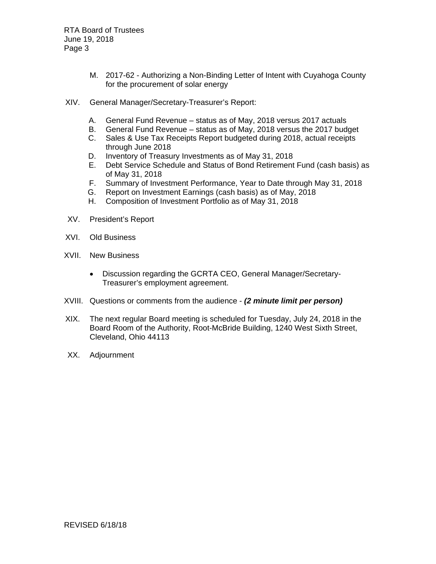RTA Board of Trustees June 19, 2018 Page 3

- M. 2017-62 Authorizing a Non-Binding Letter of Intent with Cuyahoga County for the procurement of solar energy
- XIV. General Manager/Secretary-Treasurer's Report:
	- A. General Fund Revenue status as of May, 2018 versus 2017 actuals
	- B. General Fund Revenue status as of May, 2018 versus the 2017 budget
	- C. Sales & Use Tax Receipts Report budgeted during 2018, actual receipts through June 2018
	- D. Inventory of Treasury Investments as of May 31, 2018
	- E. Debt Service Schedule and Status of Bond Retirement Fund (cash basis) as of May 31, 2018
	- F. Summary of Investment Performance, Year to Date through May 31, 2018
	- G. Report on Investment Earnings (cash basis) as of May, 2018
	- H. Composition of Investment Portfolio as of May 31, 2018
- XV. President's Report
- XVI. Old Business
- XVII. New Business
	- Discussion regarding the GCRTA CEO, General Manager/Secretary-Treasurer's employment agreement.
- XVIII. Questions or comments from the audience *(2 minute limit per person)*
- XIX. The next regular Board meeting is scheduled for Tuesday, July 24, 2018 in the Board Room of the Authority, Root-McBride Building, 1240 West Sixth Street, Cleveland, Ohio 44113
- XX. Adjournment